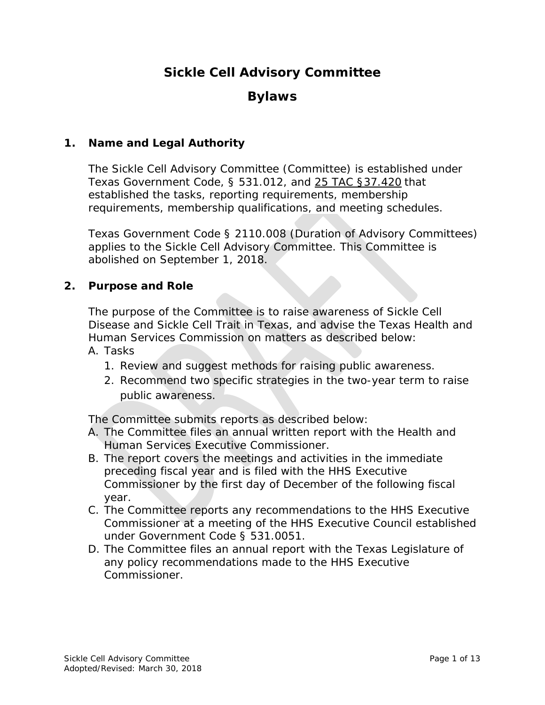# **Sickle Cell Advisory Committee**

## **Bylaws**

#### **1. Name and Legal Authority**

 Texas Government Code, § 531.012, and [25 TAC §37.420](http://texreg.sos.state.tx.us/public/readtac$ext.TacPage?sl=R&app=5&p_dir=&p_rloc=178628&p_tloc=&p_ploc=&pg=1&p_tac=178628&ti=25&pt=1&ch=37&rl=420) that The Sickle Cell Advisory Committee (Committee) is established under established the tasks, reporting requirements, membership requirements, membership qualifications, and meeting schedules.

Texas Government Code § 2110.008 (Duration of Advisory Committees) applies to the Sickle Cell Advisory Committee. This Committee is abolished on September 1, 2018.

#### **2. Purpose and Role**

 Disease and Sickle Cell Trait in Texas, and advise the Texas Health and The purpose of the Committee is to raise awareness of Sickle Cell Human Services Commission on matters as described below:

- A. Tasks
	- 1. Review and suggest methods for raising public awareness.
	- 2. Recommend two specific strategies in the two-year term to raise public awareness.

The Committee submits reports as described below:

- A. The Committee files an annual written report with the Health and Human Services Executive Commissioner.
- B. The report covers the meetings and activities in the immediate preceding fiscal year and is filed with the HHS Executive Commissioner by the first day of December of the following fiscal year.
- Commissioner at a meeting of the HHS Executive Council established under Government Code § 531.0051. C. The Committee reports any recommendations to the HHS Executive
- D. The Committee files an annual report with the Texas Legislature of any policy recommendations made to the HHS Executive Commissioner.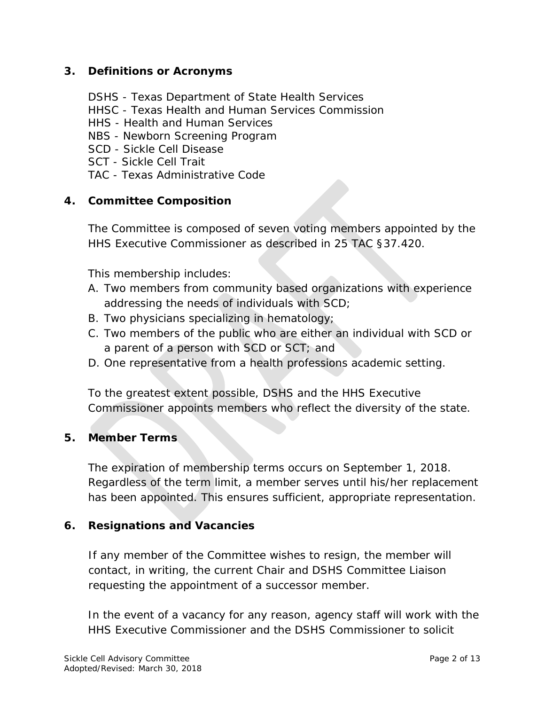#### **3. Definitions or Acronyms**

- DSHS Texas Department of State Health Services
- HHSC Texas Health and Human Services Commission
- HHS Health and Human Services
- NBS Newborn Screening Program
- SCD Sickle Cell Disease
- SCT Sickle Cell Trait
- TAC Texas Administrative Code

#### **4. Committee Composition**

The Committee is composed of seven voting members appointed by the HHS Executive Commissioner as described in 25 TAC §37.420.

This membership includes:

- A. Two members from community based organizations with experience addressing the needs of individuals with SCD;
- B. Two physicians specializing in hematology;
- a parent of a person with SCD or SCT; and C. Two members of the public who are either an individual with SCD or
- D. One representative from a health professions academic setting.

To the greatest extent possible, DSHS and the HHS Executive Commissioner appoints members who reflect the diversity of the state.

#### **5. Member Terms**

 The expiration of membership terms occurs on September 1, 2018. Regardless of the term limit, a member serves until his/her replacement has been appointed. This ensures sufficient, appropriate representation.

#### **6. Resignations and Vacancies**

If any member of the Committee wishes to resign, the member will contact, in writing, the current Chair and DSHS Committee Liaison requesting the appointment of a successor member.

In the event of a vacancy for any reason, agency staff will work with the HHS Executive Commissioner and the DSHS Commissioner to solicit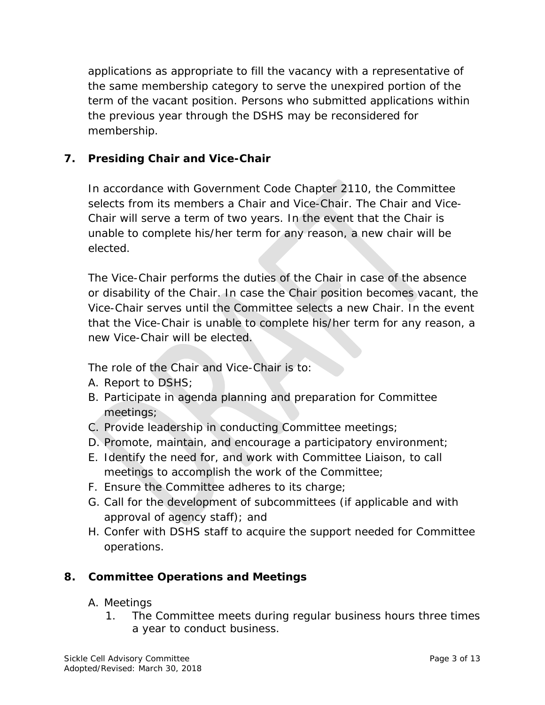the previous year through the DSHS may be reconsidered for membership. applications as appropriate to fill the vacancy with a representative of the same membership category to serve the unexpired portion of the term of the vacant position. Persons who submitted applications within

## **7. Presiding Chair and Vice-Chair**

elected. In accordance with Government Code Chapter 2110, the Committee selects from its members a Chair and Vice-Chair. The Chair and Vice-Chair will serve a term of two years. In the event that the Chair is unable to complete his/her term for any reason, a new chair will be

elected.<br>The Vice-Chair performs the duties of the Chair in case of the absence new Vice-Chair will be elected. or disability of the Chair. In case the Chair position becomes vacant, the Vice-Chair serves until the Committee selects a new Chair. In the event that the Vice-Chair is unable to complete his/her term for any reason, a

The role of the Chair and Vice-Chair is to:

- A. Report to DSHS;
- B. Participate in agenda planning and preparation for Committee meetings;
- C. Provide leadership in conducting Committee meetings;
- D. Promote, maintain, and encourage a participatory environment;
- E. Identify the need for, and work with Committee Liaison, to call meetings to accomplish the work of the Committee;
- F. Ensure the Committee adheres to its charge;
- G. Call for the development of subcommittees (if applicable and with approval of agency staff); and
- H. Confer with DSHS staff to acquire the support needed for Committee operations.

## **8. Committee Operations and Meetings**

- A. Meetings
	- 1. The Committee meets during regular business hours three times a year to conduct business.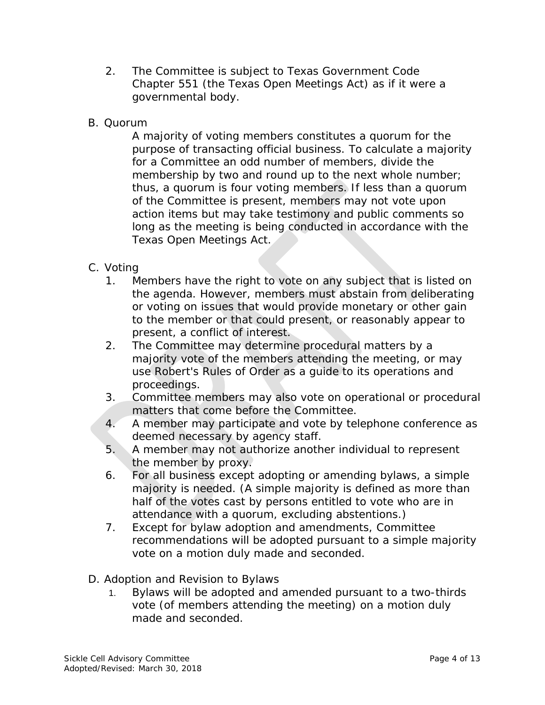- 2. The Committee is subject to Texas Government Code Chapter 551 (the Texas Open Meetings Act) as if it were a governmental body.
- B. Quorum

 A majority of voting members constitutes a quorum for the thus, a quorum is four voting members. If less than a quorum of the Committee is present, members may not vote upon action items but may take testimony and public comments so long as the meeting is being conducted in accordance with the Texas Open Meetings Act. purpose of transacting official business. To calculate a majority for a Committee an odd number of members, divide the membership by two and round up to the next whole number;

- C. Voting
	- or voting on issues that would provide monetary or other gain 1. Members have the right to vote on any subject that is listed on the agenda. However, members must abstain from deliberating to the member or that could present, or reasonably appear to present, a conflict of interest.
	- 2. The Committee may determine procedural matters by a majority vote of the members attending the meeting, or may use Robert's Rules of Order as a guide to its operations and proceedings.
	- 3. Committee members may also vote on operational or procedural matters that come before the Committee.
	- 4. A member may participate and vote by telephone conference as deemed necessary by agency staff.
	- 5. A member may not authorize another individual to represent the member by proxy.
	- 6. For all business except adopting or amending bylaws, a simple majority is needed. (A simple majority is defined as more than half of the votes cast by persons entitled to vote who are in attendance with a quorum, excluding abstentions.)
	- 7. Except for bylaw adoption and amendments, Committee recommendations will be adopted pursuant to a simple majority vote on a motion duly made and seconded.
- D. Adoption and Revision to Bylaws
	- 1. Bylaws will be adopted and amended pursuant to a two-thirds vote (of members attending the meeting) on a motion duly made and seconded.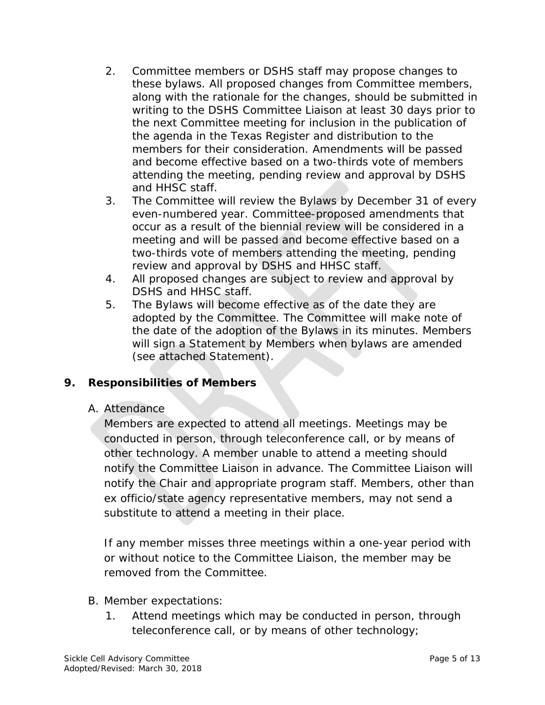- and HHSC staff. 2. Committee members or DSHS staff may propose changes to committee members along with the rationale for the changes, should be submittee writing to the DSHS committee meiting for inclusion in the publication of the agenda these bylaws. All proposed changes from Committee members, along with the rationale for the changes, should be submitted in writing to the DSHS Committee Liaison at least 30 days prior to the next Committee meeting for inclusion in the publication of the agenda in the *Texas Register* and distribution to the members for their consideration. Amendments will be passed and become effective based on a two-thirds vote of members attending the meeting, pending review and approval by DSHS
- 3. The Committee will review the Bylaws by December 31 of every even-numbered year. Committee-proposed amendments that occur as a result of the biennial review will be considered in a meeting and will be passed and become effective based on a two-thirds vote of members attending the meeting, pending review and approval by DSHS and HHSC staff.
- 4. All proposed changes are subject to review and approval by DSHS and HHSC staff.
- adopted by the Committee. The Committee will make note of 5. The Bylaws will become effective as of the date they are the date of the adoption of the Bylaws in its minutes. Members will sign a Statement by Members when bylaws are amended (see attached Statement).

#### **Responsibilities of Members 9.**

#### A. Attendance

 notify the Chair and appropriate program staff. Members, other than substitute to attend a meeting in their place. Members are expected to attend all meetings. Meetings may be conducted in person, through teleconference call, or by means of other technology. A member unable to attend a meeting should notify the Committee Liaison in advance. The Committee Liaison will ex officio/state agency representative members, may not send a

 removed from the Committee. B. Member expectations: If any member misses three meetings within a one-year period with or without notice to the Committee Liaison, the member may be

- - 1. Attend meetings which may be conducted in person, through teleconference call, or by means of other technology;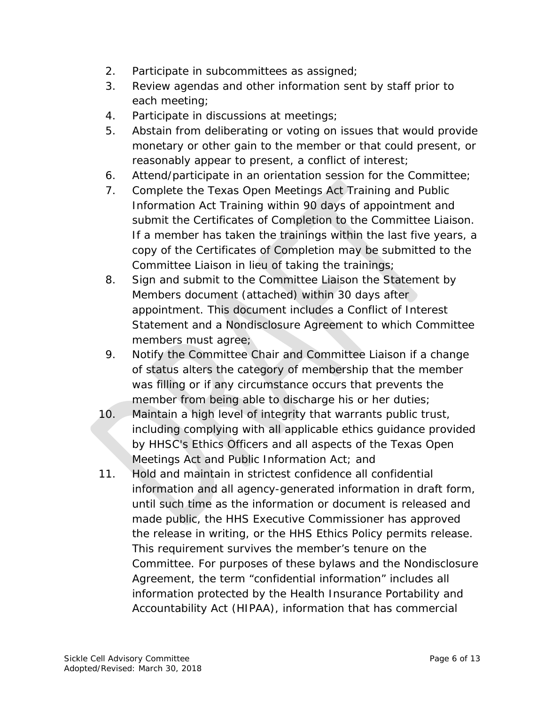- 2. Participate in subcommittees as assigned;
- 3. Review agendas and other information sent by staff prior to each meeting;
- 4. Participate in discussions at meetings;
- 5. Abstain from deliberating or voting on issues that would provide monetary or other gain to the member or that could present, or reasonably appear to present, a conflict of interest;
- 6. Attend/participate in an orientation session for the Committee;
- 7. Complete the Texas Open Meetings Act Training and Public Information Act Training within 90 days of appointment and submit the Certificates of Completion to the Committee Liaison. If a member has taken the trainings within the last five years, a copy of the Certificates of Completion may be submitted to the Committee Liaison in lieu of taking the trainings;
- 8. Sign and submit to the Committee Liaison the Statement by Members document (attached) within 30 days after appointment. This document includes a Conflict of Interest Statement and a Nondisclosure Agreement to which Committee members must agree;
- was filling or if any circumstance occurs that prevents the member from being able to discharge his or her duties; 9. Notify the Committee Chair and Committee Liaison if a change of status alters the category of membership that the member
- 10. Maintain a high level of integrity that warrants public trust, including complying with all applicable ethics guidance provided by HHSC's Ethics Officers and all aspects of the Texas Open Meetings Act and Public Information Act; and
- 11. Hold and maintain in strictest confidence all confidential information and all agency-generated information in draft form, until such time as the information or document is released and made public, the HHS Executive Commissioner has approved the release in writing, or the HHS Ethics Policy permits release. This requirement survives the member's tenure on the Committee. For purposes of these bylaws and the Nondisclosure Agreement, the term "confidential information" includes all information protected by the Health Insurance Portability and Accountability Act (HIPAA), information that has commercial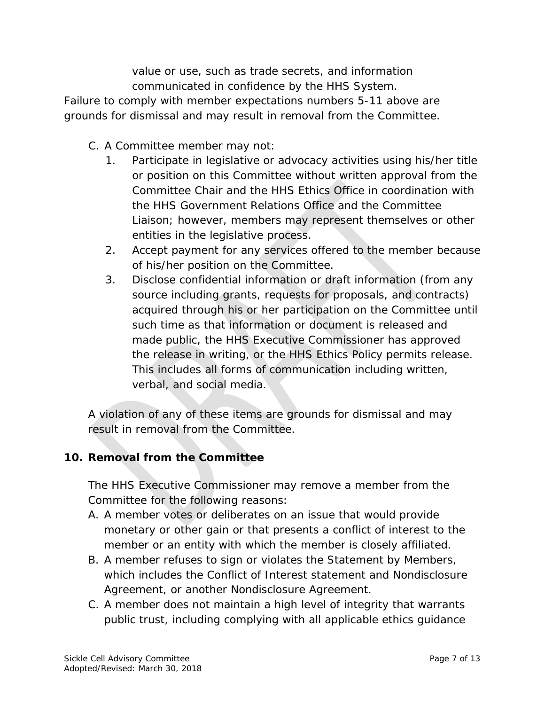value or use, such as trade secrets, and information communicated in confidence by the HHS System.

 Failure to comply with member expectations numbers 5-11 above are grounds for dismissal and may result in removal from the Committee.

- C. A Committee member may not:
	- 1. Participate in legislative or advocacy activities using his/her title or position on this Committee without written approval from the Committee Chair and the HHS Ethics Office in coordination with the HHS Government Relations Office and the Committee Liaison; however, members may represent themselves or other entities in the legislative process.
	- 2. Accept payment for any services offered to the member because of his/her position on the Committee.
	- 3. Disclose confidential information or draft information (from any source including grants, requests for proposals, and contracts) acquired through his or her participation on the Committee until such time as that information or document is released and made public, the HHS Executive Commissioner has approved the release in writing, or the HHS Ethics Policy permits release. This includes all forms of communication including written, verbal, and social media.

 A violation of any of these items are grounds for dismissal and may result in removal from the Committee.

## **10. Removal from the Committee**

The HHS Executive Commissioner may remove a member from the Committee for the following reasons:

- monetary or other gain or that presents a conflict of interest to the A. A member votes or deliberates on an issue that would provide member or an entity with which the member is closely affiliated.
- which includes the Conflict of Interest statement and Nondisclosure B. A member refuses to sign or violates the Statement by Members, Agreement, or another Nondisclosure Agreement.
- C. A member does not maintain a high level of integrity that warrants public trust, including complying with all applicable ethics guidance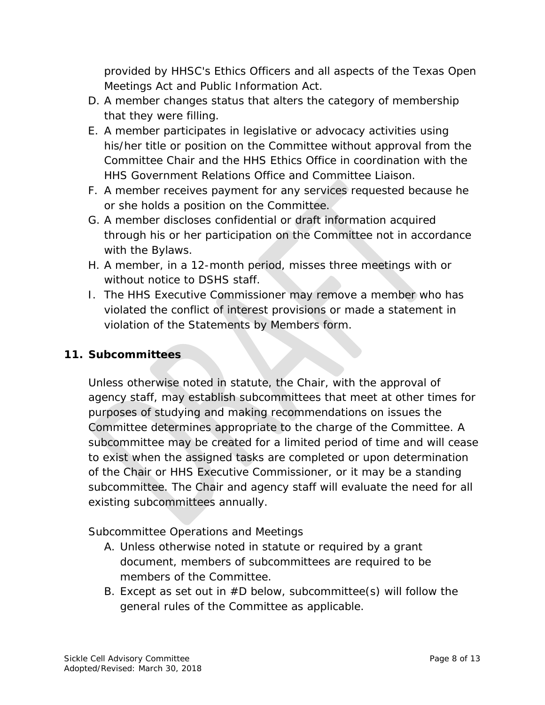provided by HHSC's Ethics Officers and all aspects of the Texas Open Meetings Act and Public Information Act.

- D. A member changes status that alters the category of membership that they were filling.
- E. A member participates in legislative or advocacy activities using his/her title or position on the Committee without approval from the Committee Chair and the HHS Ethics Office in coordination with the HHS Government Relations Office and Committee Liaison.
- F. A member receives payment for any services requested because he or she holds a position on the Committee.
- through his or her participation on the Committee not in accordance G. A member discloses confidential or draft information acquired with the Bylaws.
- H. A member, in a 12-month period, misses three meetings with or without notice to DSHS staff.
- violation of the Statements by Members form. I. The HHS Executive Commissioner may remove a member who has violated the conflict of interest provisions or made a statement in

#### **11. Subcommittees**

Unless otherwise noted in statute, the Chair, with the approval of agency staff, may establish subcommittees that meet at other times for purposes of studying and making recommendations on issues the Committee determines appropriate to the charge of the Committee. A subcommittee may be created for a limited period of time and will cease to exist when the assigned tasks are completed or upon determination of the Chair or HHS Executive Commissioner, or it may be a standing subcommittee. The Chair and agency staff will evaluate the need for all existing subcommittees annually.

Subcommittee Operations and Meetings

- members of the Committee. A. Unless otherwise noted in statute or required by a grant document, members of subcommittees are required to be
- B. Except as set out in  $#D$  below, subcommittee(s) will follow the general rules of the Committee as applicable.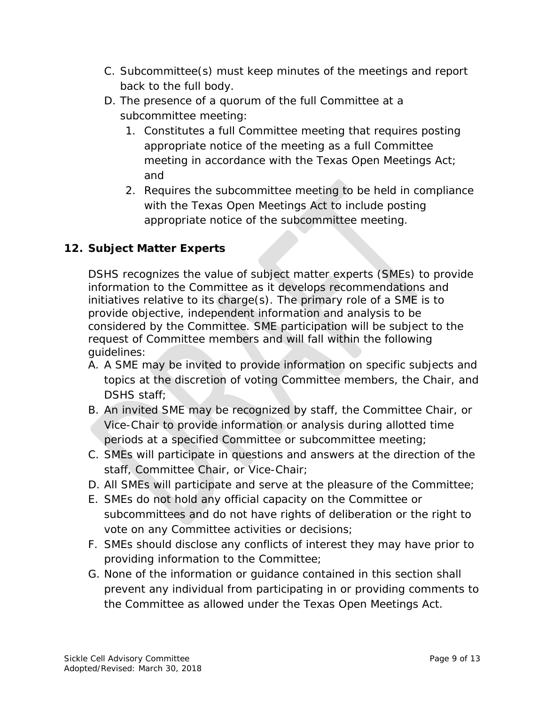- back to the full body. C. Subcommittee(s) must keep minutes of the meetings and report
- D. The presence of a quorum of the full Committee at a subcommittee meeting:
	- 1. Constitutes a full Committee meeting that requires posting appropriate notice of the meeting as a full Committee meeting in accordance with the Texas Open Meetings Act; and
	- appropriate notice of the subcommittee meeting. 2. Requires the subcommittee meeting to be held in compliance with the Texas Open Meetings Act to include posting

## **12. Subject Matter Experts**

 initiatives relative to its charge(s). The primary role of a SME is to DSHS recognizes the value of subject matter experts (SMEs) to provide information to the Committee as it develops recommendations and provide objective, independent information and analysis to be considered by the Committee. SME participation will be subject to the request of Committee members and will fall within the following guidelines:

- topics at the discretion of voting Committee members, the Chair, and DSHS staff; A. A SME may be invited to provide information on specific subjects and
- B. An invited SME may be recognized by staff, the Committee Chair, or Vice-Chair to provide information or analysis during allotted time periods at a specified Committee or subcommittee meeting;
- C. SMEs will participate in questions and answers at the direction of the staff, Committee Chair, or Vice-Chair;
- D. All SMEs will participate and serve at the pleasure of the Committee;
- E. SMEs do not hold any official capacity on the Committee or subcommittees and do not have rights of deliberation or the right to vote on any Committee activities or decisions;
- F. SMEs should disclose any conflicts of interest they may have prior to providing information to the Committee;
- prevent any individual from participating in or providing comments to G. None of the information or guidance contained in this section shall the Committee as allowed under the Texas Open Meetings Act.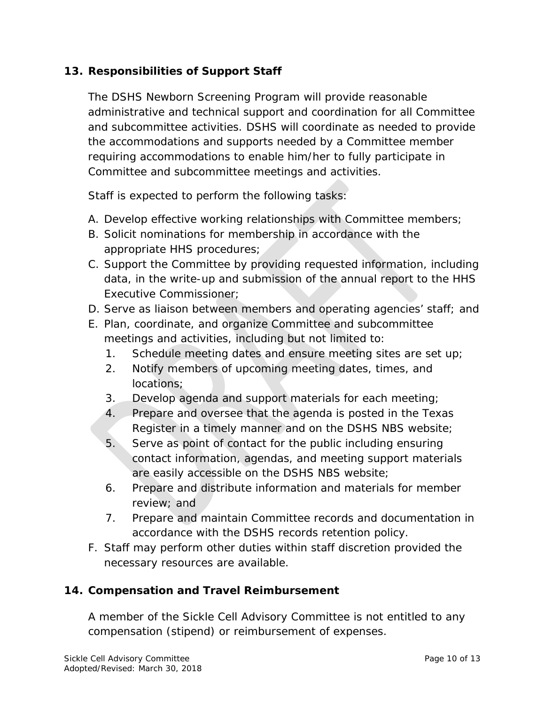### **13. Responsibilities of Support Staff**

The DSHS Newborn Screening Program will provide reasonable administrative and technical support and coordination for all Committee and subcommittee activities. DSHS will coordinate as needed to provide the accommodations and supports needed by a Committee member requiring accommodations to enable him/her to fully participate in Committee and subcommittee meetings and activities.

Staff is expected to perform the following tasks:

- A. Develop effective working relationships with Committee members;
- B. Solicit nominations for membership in accordance with the appropriate HHS procedures;
- data, in the write-up and submission of the annual report to the HHS C. Support the Committee by providing requested information, including Executive Commissioner;
- D. Serve as liaison between members and operating agencies' staff; and
- E. Plan, coordinate, and organize Committee and subcommittee meetings and activities, including but not limited to:
	- 1. Schedule meeting dates and ensure meeting sites are set up;
	- 2. Notify members of upcoming meeting dates, times, and locations;
	- 3. Develop agenda and support materials for each meeting;
	- 4. Prepare and oversee that the agenda is posted in the *Texas Register* in a timely manner and on the DSHS NBS website;
	- 5. Serve as point of contact for the public including ensuring contact information, agendas, and meeting support materials are easily accessible on the DSHS NBS website;
	- 6. Prepare and distribute information and materials for member review; and
	- 7. Prepare and maintain Committee records and documentation in accordance with the DSHS records retention policy.
- F. Staff may perform other duties within staff discretion provided the necessary resources are available.

#### **14. Compensation and Travel Reimbursement**

A member of the Sickle Cell Advisory Committee is not entitled to any compensation (stipend) or reimbursement of expenses.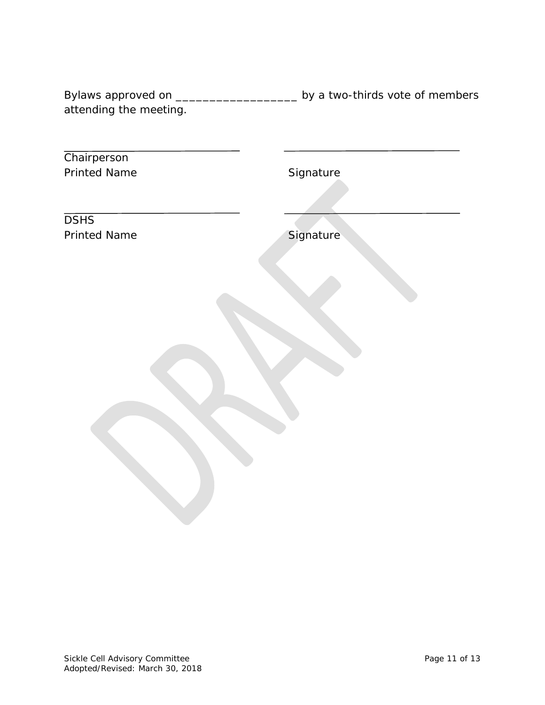Bylaws approved on \_\_\_\_\_\_\_\_\_\_\_\_\_\_\_\_\_\_\_\_\_\_\_\_ by a two-thirds vote of members attending the meeting.

| Chairperson         |           |
|---------------------|-----------|
| <b>Printed Name</b> | Signature |
|                     |           |
|                     |           |
| <b>DSHS</b>         |           |
|                     |           |
| <b>Printed Name</b> | Signature |
|                     |           |
|                     |           |
|                     |           |
|                     |           |
|                     |           |
|                     |           |
|                     |           |
|                     |           |
|                     |           |
|                     |           |
|                     |           |
|                     |           |
|                     |           |
|                     |           |
|                     |           |
|                     |           |
|                     |           |
|                     |           |
|                     |           |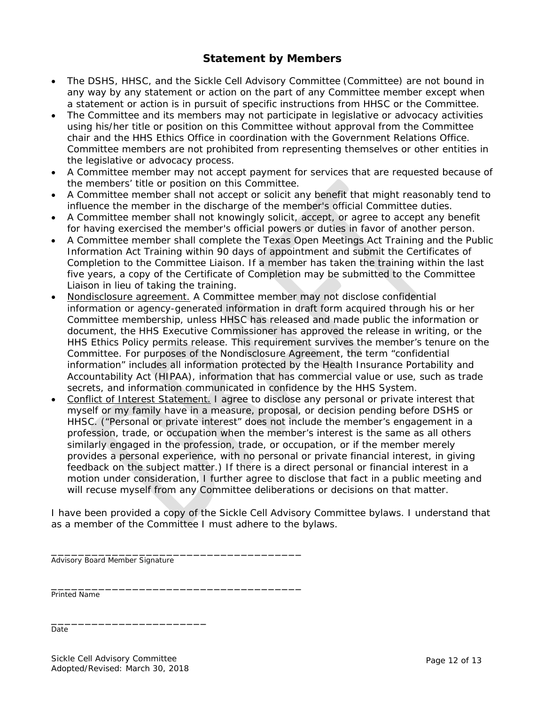#### **Statement by Members**

- The DSHS, HHSC, and the Sickle Cell Advisory Committee (Committee) are not bound in any way by any statement or action on the part of any Committee member except when a statement or action is in pursuit of specific instructions from HHSC or the Committee.
- The Committee and its members may not participate in legislative or advocacy activities using his/her title or position on this Committee without approval from the Committee chair and the HHS Ethics Office in coordination with the Government Relations Office. Committee members are not prohibited from representing themselves or other entities in the legislative or advocacy process.
- A Committee member may not accept payment for services that are requested because of the members' title or position on this Committee.
- • A Committee member shall not accept or solicit any benefit that might reasonably tend to influence the member in the discharge of the member's official Committee duties.
- • A Committee member shall not knowingly solicit, accept, or agree to accept any benefit for having exercised the member's official powers or duties in favor of another person.
- • A Committee member shall complete the Texas Open Meetings Act Training and the Public Information Act Training within 90 days of appointment and submit the Certificates of Completion to the Committee Liaison. If a member has taken the training within the last five years, a copy of the Certificate of Completion may be submitted to the Committee Liaison in lieu of taking the training.
- Nondisclosure agreement. A Committee member may not disclose confidential information or agency-generated information in draft form acquired through his or her Committee membership, unless HHSC has released and made public the information or document, the HHS Executive Commissioner has approved the release in writing, or the HHS Ethics Policy permits release. This requirement survives the member's tenure on the Committee. For purposes of the Nondisclosure Agreement, the term "confidential information" includes all information protected by the Health Insurance Portability and Accountability Act (HIPAA), information that has commercial value or use, such as trade secrets, and information communicated in confidence by the HHS System.
- Conflict of Interest Statement. I agree to disclose any personal or private interest that myself or my family have in a measure, proposal, or decision pending before DSHS or HHSC. ("Personal or private interest" does not include the member's engagement in a profession, trade, or occupation when the member's interest is the same as all others similarly engaged in the profession, trade, or occupation, or if the member merely provides a personal experience, with no personal or private financial interest, in giving feedback on the subject matter.) If there is a direct personal or financial interest in a motion under consideration, I further agree to disclose that fact in a public meeting and will recuse myself from any Committee deliberations or decisions on that matter.

 I have been provided a copy of the Sickle Cell Advisory Committee bylaws. I understand that as a member of the Committee I must adhere to the bylaws.

Advisory Board Member Signature

\_\_\_\_\_\_\_\_\_\_\_\_\_\_\_\_\_\_\_\_\_\_\_\_\_\_\_\_\_\_\_\_\_\_\_\_\_

\_\_\_\_\_\_\_\_\_\_\_\_\_\_\_\_\_\_\_\_\_\_\_\_\_\_\_\_\_\_\_\_\_\_\_\_\_

Printed Name

\_\_\_\_\_\_\_\_\_\_\_\_\_\_\_\_\_\_\_\_\_\_\_ Date